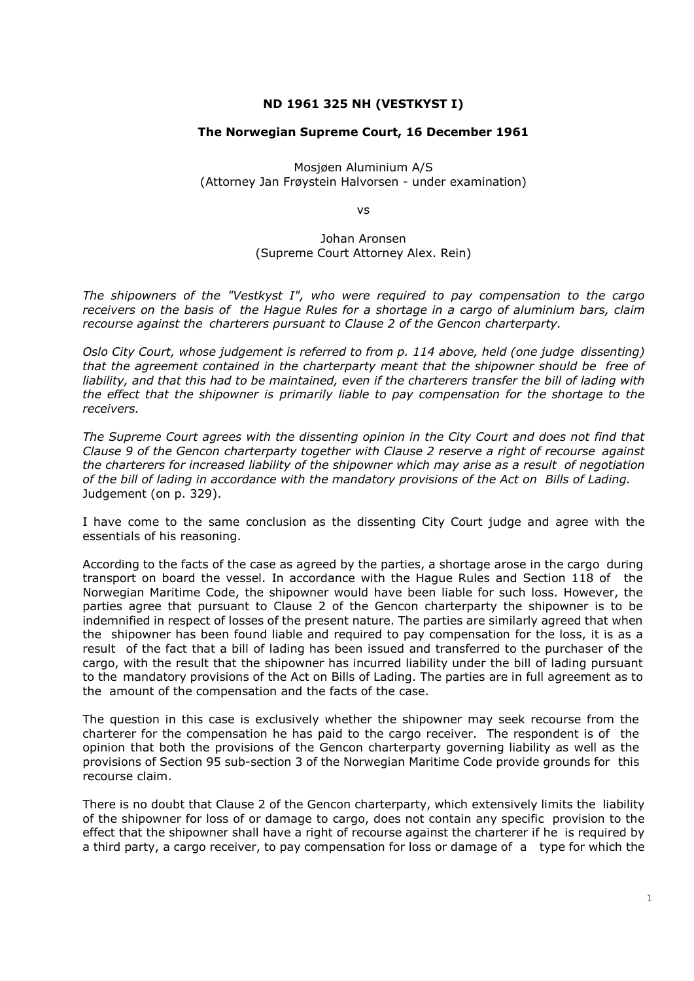## **ND 1961 325 NH (VESTKYST I)**

## **The Norwegian Supreme Court, 16 December 1961**

Mosjøen Aluminium A/S (Attorney Jan Frøystein Halvorsen - under examination)

vs

Johan Aronsen (Supreme Court Attorney Alex. Rein)

*The shipowners of the "Vestkyst I", who were required to pay compensation to the cargo receivers on the basis of the Hague Rules for a shortage in a cargo of aluminium bars, claim recourse against the charterers pursuant to Clause 2 of the Gencon charterparty.* 

*Oslo City Court, whose judgement is referred to from p. 114 above, held (one judge dissenting) that the agreement contained in the charterparty meant that the shipowner should be free of liability, and that this had to be maintained, even if the charterers transfer the bill of lading with the effect that the shipowner is primarily liable to pay compensation for the shortage to the receivers.* 

*The Supreme Court agrees with the dissenting opinion in the City Court and does not find that Clause 9 of the Gencon charterparty together with Clause 2 reserve a right of recourse against the charterers for increased liability of the shipowner which may arise as a result of negotiation of the bill of lading in accordance with the mandatory provisions of the Act on Bills of Lading.* Judgement (on p. 329).

I have come to the same conclusion as the dissenting City Court judge and agree with the essentials of his reasoning.

According to the facts of the case as agreed by the parties, a shortage arose in the cargo during transport on board the vessel. In accordance with the Hague Rules and Section 118 of the Norwegian Maritime Code, the shipowner would have been liable for such loss. However, the parties agree that pursuant to Clause 2 of the Gencon charterparty the shipowner is to be indemnified in respect of losses of the present nature. The parties are similarly agreed that when the shipowner has been found liable and required to pay compensation for the loss, it is as a result of the fact that a bill of lading has been issued and transferred to the purchaser of the cargo, with the result that the shipowner has incurred liability under the bill of lading pursuant to the mandatory provisions of the Act on Bills of Lading. The parties are in full agreement as to the amount of the compensation and the facts of the case.

The question in this case is exclusively whether the shipowner may seek recourse from the charterer for the compensation he has paid to the cargo receiver. The respondent is of the opinion that both the provisions of the Gencon charterparty governing liability as well as the provisions of Section 95 sub-section 3 of the Norwegian Maritime Code provide grounds for this recourse claim.

There is no doubt that Clause 2 of the Gencon charterparty, which extensively limits the liability of the shipowner for loss of or damage to cargo, does not contain any specific provision to the effect that the shipowner shall have a right of recourse against the charterer if he is required by a third party, a cargo receiver, to pay compensation for loss or damage of a type for which the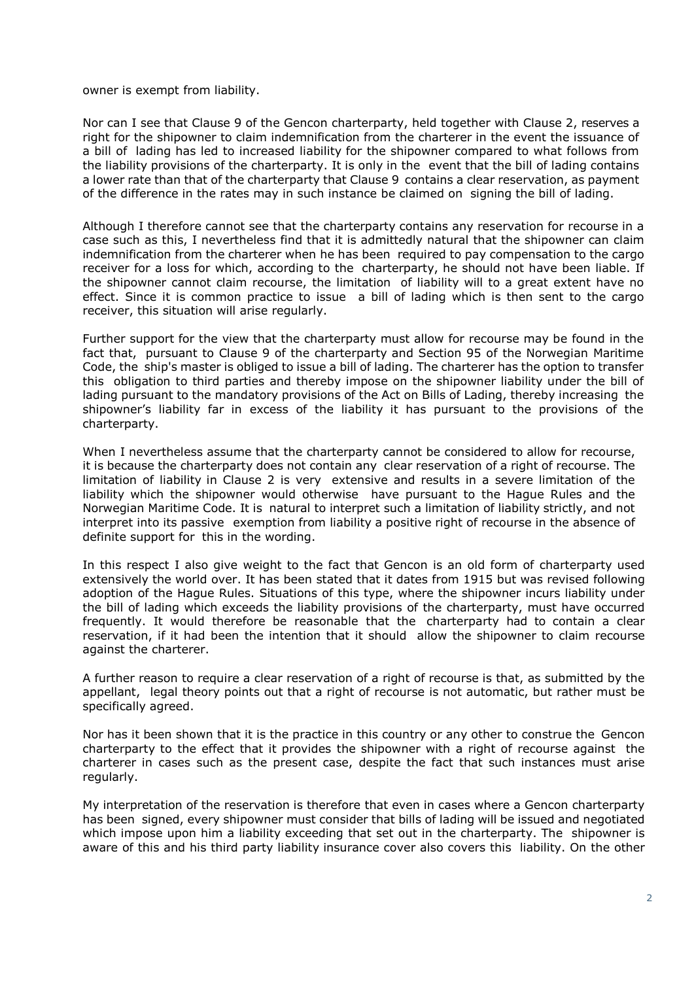## owner is exempt from liability.

Nor can I see that Clause 9 of the Gencon charterparty, held together with Clause 2, reserves a right for the shipowner to claim indemnification from the charterer in the event the issuance of a bill of lading has led to increased liability for the shipowner compared to what follows from the liability provisions of the charterparty. It is only in the event that the bill of lading contains a lower rate than that of the charterparty that Clause 9 contains a clear reservation, as payment of the difference in the rates may in such instance be claimed on signing the bill of lading.

Although I therefore cannot see that the charterparty contains any reservation for recourse in a case such as this, I nevertheless find that it is admittedly natural that the shipowner can claim indemnification from the charterer when he has been required to pay compensation to the cargo receiver for a loss for which, according to the charterparty, he should not have been liable. If the shipowner cannot claim recourse, the limitation of liability will to a great extent have no effect. Since it is common practice to issue a bill of lading which is then sent to the cargo receiver, this situation will arise regularly.

Further support for the view that the charterparty must allow for recourse may be found in the fact that, pursuant to Clause 9 of the charterparty and Section 95 of the Norwegian Maritime Code, the ship's master is obliged to issue a bill of lading. The charterer has the option to transfer this obligation to third parties and thereby impose on the shipowner liability under the bill of lading pursuant to the mandatory provisions of the Act on Bills of Lading, thereby increasing the shipowner's liability far in excess of the liability it has pursuant to the provisions of the charterparty.

When I nevertheless assume that the charterparty cannot be considered to allow for recourse, it is because the charterparty does not contain any clear reservation of a right of recourse. The limitation of liability in Clause 2 is very extensive and results in a severe limitation of the liability which the shipowner would otherwise have pursuant to the Hague Rules and the Norwegian Maritime Code. It is natural to interpret such a limitation of liability strictly, and not interpret into its passive exemption from liability a positive right of recourse in the absence of definite support for this in the wording.

In this respect I also give weight to the fact that Gencon is an old form of charterparty used extensively the world over. It has been stated that it dates from 1915 but was revised following adoption of the Hague Rules. Situations of this type, where the shipowner incurs liability under the bill of lading which exceeds the liability provisions of the charterparty, must have occurred frequently. It would therefore be reasonable that the charterparty had to contain a clear reservation, if it had been the intention that it should allow the shipowner to claim recourse against the charterer.

A further reason to require a clear reservation of a right of recourse is that, as submitted by the appellant, legal theory points out that a right of recourse is not automatic, but rather must be specifically agreed.

Nor has it been shown that it is the practice in this country or any other to construe the Gencon charterparty to the effect that it provides the shipowner with a right of recourse against the charterer in cases such as the present case, despite the fact that such instances must arise regularly.

My interpretation of the reservation is therefore that even in cases where a Gencon charterparty has been signed, every shipowner must consider that bills of lading will be issued and negotiated which impose upon him a liability exceeding that set out in the charterparty. The shipowner is aware of this and his third party liability insurance cover also covers this liability. On the other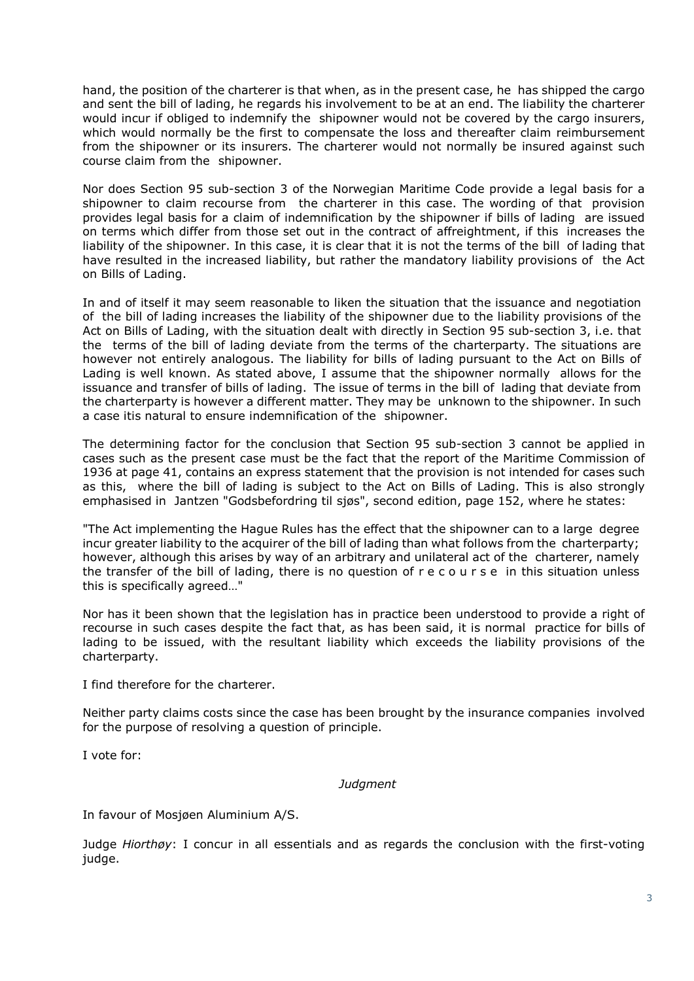hand, the position of the charterer is that when, as in the present case, he has shipped the cargo and sent the bill of lading, he regards his involvement to be at an end. The liability the charterer would incur if obliged to indemnify the shipowner would not be covered by the cargo insurers, which would normally be the first to compensate the loss and thereafter claim reimbursement from the shipowner or its insurers. The charterer would not normally be insured against such course claim from the shipowner.

Nor does Section 95 sub-section 3 of the Norwegian Maritime Code provide a legal basis for a shipowner to claim recourse from the charterer in this case. The wording of that provision provides legal basis for a claim of indemnification by the shipowner if bills of lading are issued on terms which differ from those set out in the contract of affreightment, if this increases the liability of the shipowner. In this case, it is clear that it is not the terms of the bill of lading that have resulted in the increased liability, but rather the mandatory liability provisions of the Act on Bills of Lading.

In and of itself it may seem reasonable to liken the situation that the issuance and negotiation of the bill of lading increases the liability of the shipowner due to the liability provisions of the Act on Bills of Lading, with the situation dealt with directly in Section 95 sub-section 3, i.e. that the terms of the bill of lading deviate from the terms of the charterparty. The situations are however not entirely analogous. The liability for bills of lading pursuant to the Act on Bills of Lading is well known. As stated above, I assume that the shipowner normally allows for the issuance and transfer of bills of lading. The issue of terms in the bill of lading that deviate from the charterparty is however a different matter. They may be unknown to the shipowner. In such a case itis natural to ensure indemnification of the shipowner.

The determining factor for the conclusion that Section 95 sub-section 3 cannot be applied in cases such as the present case must be the fact that the report of the Maritime Commission of 1936 at page 41, contains an express statement that the provision is not intended for cases such as this, where the bill of lading is subject to the Act on Bills of Lading. This is also strongly emphasised in Jantzen "Godsbefordring til sjøs", second edition, page 152, where he states:

"The Act implementing the Hague Rules has the effect that the shipowner can to a large degree incur greater liability to the acquirer of the bill of lading than what follows from the charterparty; however, although this arises by way of an arbitrary and unilateral act of the charterer, namely the transfer of the bill of lading, there is no question of r e c o u r s e in this situation unless this is specifically agreed…"

Nor has it been shown that the legislation has in practice been understood to provide a right of recourse in such cases despite the fact that, as has been said, it is normal practice for bills of lading to be issued, with the resultant liability which exceeds the liability provisions of the charterparty.

I find therefore for the charterer.

Neither party claims costs since the case has been brought by the insurance companies involved for the purpose of resolving a question of principle.

I vote for:

## *Judgment*

In favour of Mosjøen Aluminium A/S.

Judge *Hiorthøy*: I concur in all essentials and as regards the conclusion with the first-voting judge.